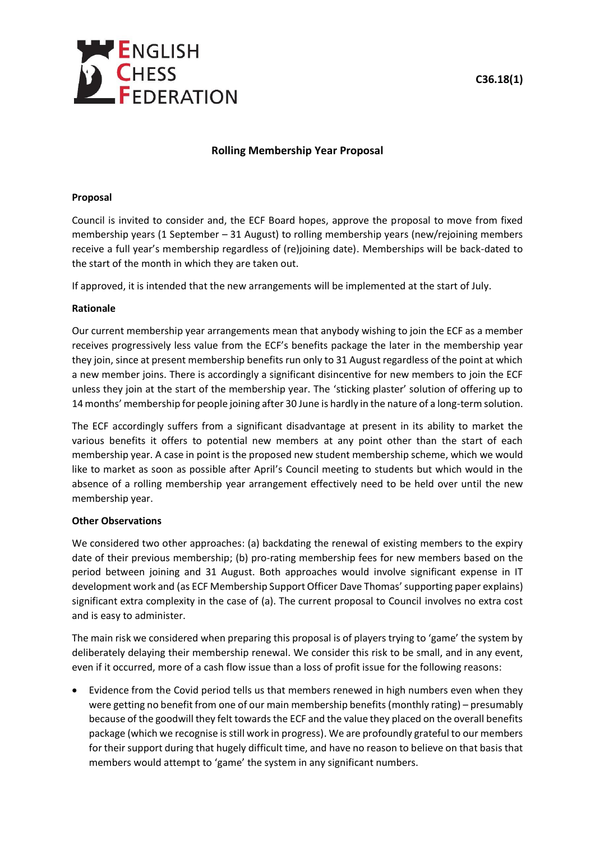

# **C36.18(1)**

## **Rolling Membership Year Proposal**

#### **Proposal**

Council is invited to consider and, the ECF Board hopes, approve the proposal to move from fixed membership years (1 September – 31 August) to rolling membership years (new/rejoining members receive a full year's membership regardless of (re)joining date). Memberships will be back-dated to the start of the month in which they are taken out.

If approved, it is intended that the new arrangements will be implemented at the start of July.

#### **Rationale**

Our current membership year arrangements mean that anybody wishing to join the ECF as a member receives progressively less value from the ECF's benefits package the later in the membership year they join, since at present membership benefits run only to 31 August regardless of the point at which a new member joins. There is accordingly a significant disincentive for new members to join the ECF unless they join at the start of the membership year. The 'sticking plaster' solution of offering up to 14 months' membership for people joining after 30 June is hardly in the nature of a long-term solution.

The ECF accordingly suffers from a significant disadvantage at present in its ability to market the various benefits it offers to potential new members at any point other than the start of each membership year. A case in point is the proposed new student membership scheme, which we would like to market as soon as possible after April's Council meeting to students but which would in the absence of a rolling membership year arrangement effectively need to be held over until the new membership year.

#### **Other Observations**

We considered two other approaches: (a) backdating the renewal of existing members to the expiry date of their previous membership; (b) pro-rating membership fees for new members based on the period between joining and 31 August. Both approaches would involve significant expense in IT development work and (as ECF Membership Support Officer Dave Thomas' supporting paper explains) significant extra complexity in the case of (a). The current proposal to Council involves no extra cost and is easy to administer.

The main risk we considered when preparing this proposal is of players trying to 'game' the system by deliberately delaying their membership renewal. We consider this risk to be small, and in any event, even if it occurred, more of a cash flow issue than a loss of profit issue for the following reasons:

• Evidence from the Covid period tells us that members renewed in high numbers even when they were getting no benefit from one of our main membership benefits (monthly rating) – presumably because of the goodwill they felt towards the ECF and the value they placed on the overall benefits package (which we recognise is still work in progress). We are profoundly grateful to our members for their support during that hugely difficult time, and have no reason to believe on that basis that members would attempt to 'game' the system in any significant numbers.